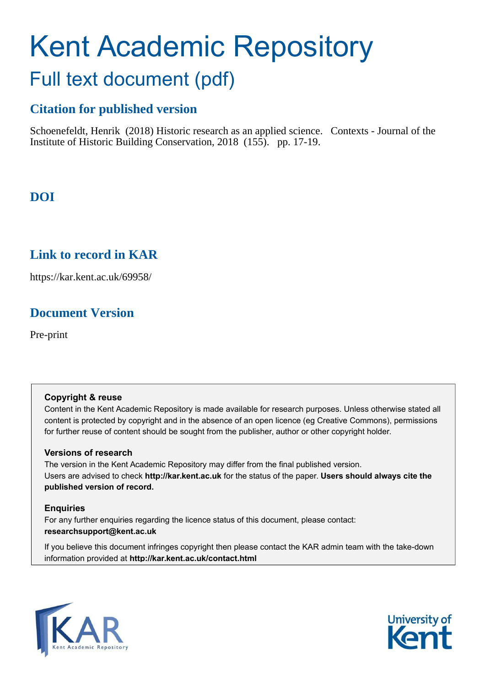# Kent Academic Repository Full text document (pdf)

# **Citation for published version**

Schoenefeldt, Henrik (2018) Historic research as an applied science. Contexts - Journal of the Institute of Historic Building Conservation, 2018 (155). pp. 17-19.

## **DOI**

## **Link to record in KAR**

https://kar.kent.ac.uk/69958/

## **Document Version**

Pre-print

## **Copyright & reuse**

Content in the Kent Academic Repository is made available for research purposes. Unless otherwise stated all content is protected by copyright and in the absence of an open licence (eg Creative Commons), permissions for further reuse of content should be sought from the publisher, author or other copyright holder.

## **Versions of research**

The version in the Kent Academic Repository may differ from the final published version. Users are advised to check **http://kar.kent.ac.uk** for the status of the paper. **Users should always cite the published version of record.**

## **Enquiries**

For any further enquiries regarding the licence status of this document, please contact: **researchsupport@kent.ac.uk**

If you believe this document infringes copyright then please contact the KAR admin team with the take-down information provided at **http://kar.kent.ac.uk/contact.html**



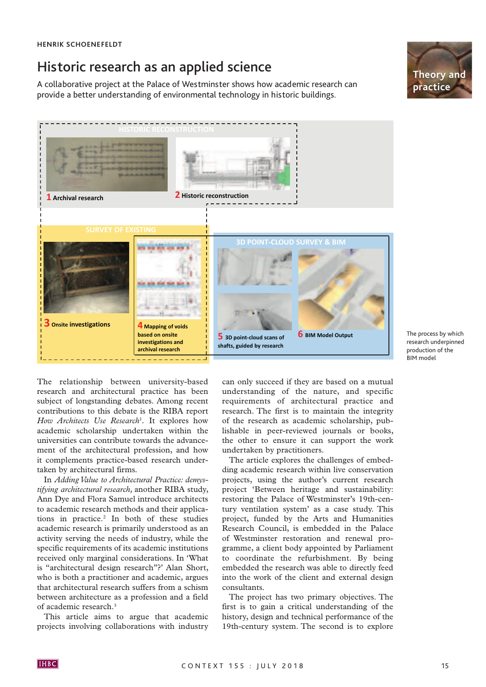# Historic research as an applied science

A collaborative project at the Palace of Westminster shows how academic research can provide a better understanding of environmental technology in historic buildings.





The process by which research underpinned production of the BIM model

The relationship between university-based research and architectural practice has been subject of longstanding debates. Among recent contributions to this debate is the RIBA report *How Architects Use Research*<sup>1</sup> *.* It explores how academic scholarship undertaken within the universities can contribute towards the advancement of the architectural profession, and how it complements practice-based research undertaken by architectural firms.

In *Adding Value to Architectural Practice: demystifying architectural research,* another RIBA study, Ann Dye and Flora Samuel introduce architects to academic research methods and their applications in practice.<sup>2</sup> In both of these studies academic research is primarily understood as an activity serving the needs of industry, while the specific requirements of its academic institutions received only marginal considerations. In 'What is "architectural design research"?' Alan Short, who is both a practitioner and academic, argues that architectural research suffers from a schism between architecture as a profession and a field of academic research.<sup>3</sup>

This article aims to argue that academic projects involving collaborations with industry can only succeed if they are based on a mutual understanding of the nature, and specific requirements of architectural practice and research. The first is to maintain the integrity of the research as academic scholarship, publishable in peer-reviewed journals or books, the other to ensure it can support the work undertaken by practitioners.

The article explores the challenges of embedding academic research within live conservation projects, using the author's current research project 'Between heritage and sustainability: restoring the Palace of Westminster's 19th-century ventilation system' as a case study. This project, funded by the Arts and Humanities Research Council, is embedded in the Palace of Westminster restoration and renewal programme, a client body appointed by Parliament to coordinate the refurbishment. By being embedded the research was able to directly feed into the work of the client and external design consultants.

The project has two primary objectives. The first is to gain a critical understanding of the history, design and technical performance of the 19th-century system. The second is to explore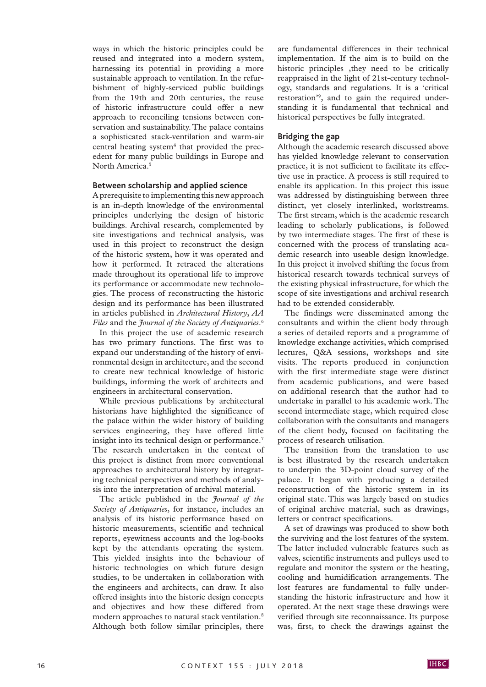ways in which the historic principles could be reused and integrated into a modern system, harnessing its potential in providing a more sustainable approach to ventilation. In the refurbishment of highly-serviced public buildings from the 19th and 20th centuries, the reuse of historic infrastructure could offer a new approach to reconciling tensions between conservation and sustainability. The palace contains a sophisticated stack-ventilation and warm-air central heating system $4$  that provided the precedent for many public buildings in Europe and North America.<sup>5</sup>

#### **Between scholarship and applied science**

A prerequisite to implementing this new approach is an in-depth knowledge of the environmental principles underlying the design of historic buildings. Archival research, complemented by site investigations and technical analysis, was used in this project to reconstruct the design of the historic system, how it was operated and how it performed. It retraced the alterations made throughout its operational life to improve its performance or accommodate new technologies. The process of reconstructing the historic design and its performance has been illustrated in articles published in *Architectural History*, *AA Files* and the *Journal of the Society of Antiquaries*. 6

In this project the use of academic research has two primary functions. The first was to expand our understanding of the history of environmental design in architecture, and the second to create new technical knowledge of historic buildings, informing the work of architects and engineers in architectural conservation.

While previous publications by architectural historians have highlighted the significance of the palace within the wider history of building services engineering, they have offered little insight into its technical design or performance.<sup>7</sup> The research undertaken in the context of this project is distinct from more conventional approaches to architectural history by integrating technical perspectives and methods of analysis into the interpretation of archival material.

The article published in the *Journal of the Society of Antiquaries*, for instance, includes an analysis of its historic performance based on historic measurements, scientific and technical reports, eyewitness accounts and the log-books kept by the attendants operating the system. This yielded insights into the behaviour of historic technologies on which future design studies, to be undertaken in collaboration with the engineers and architects, can draw. It also offered insights into the historic design concepts and objectives and how these differed from modern approaches to natural stack ventilation.<sup>8</sup> Although both follow similar principles, there

are fundamental differences in their technical implementation. If the aim is to build on the historic principles , they need to be critically reappraised in the light of 21st-century technology, standards and regulations. It is a 'critical restoration'<sup>9</sup> , and to gain the required understanding it is fundamental that technical and historical perspectives be fully integrated.

#### **Bridging the gap**

Although the academic research discussed above has yielded knowledge relevant to conservation practice, it is not sufficient to facilitate its effective use in practice. A process is still required to enable its application. In this project this issue was addressed by distinguishing between three distinct, yet closely interlinked, workstreams. The first stream, which is the academic research leading to scholarly publications, is followed by two intermediate stages. The first of these is concerned with the process of translating academic research into useable design knowledge. In this project it involved shifting the focus from historical research towards technical surveys of the existing physical infrastructure, for which the scope of site investigations and archival research had to be extended considerably.

The findings were disseminated among the consultants and within the client body through a series of detailed reports and a programme of knowledge exchange activities, which comprised lectures, Q&A sessions, workshops and site visits. The reports produced in conjunction with the first intermediate stage were distinct from academic publications, and were based on additional research that the author had to undertake in parallel to his academic work. The second intermediate stage, which required close collaboration with the consultants and managers of the client body, focused on facilitating the process of research utilisation.

The transition from the translation to use is best illustrated by the research undertaken to underpin the 3D-point cloud survey of the palace. It began with producing a detailed reconstruction of the historic system in its original state. This was largely based on studies of original archive material, such as drawings, letters or contract specifications.

A set of drawings was produced to show both the surviving and the lost features of the system. The latter included vulnerable features such as valves, scientific instruments and pulleys used to regulate and monitor the system or the heating, cooling and humidification arrangements. The lost features are fundamental to fully understanding the historic infrastructure and how it operated. At the next stage these drawings were verified through site reconnaissance. Its purpose was, first, to check the drawings against the